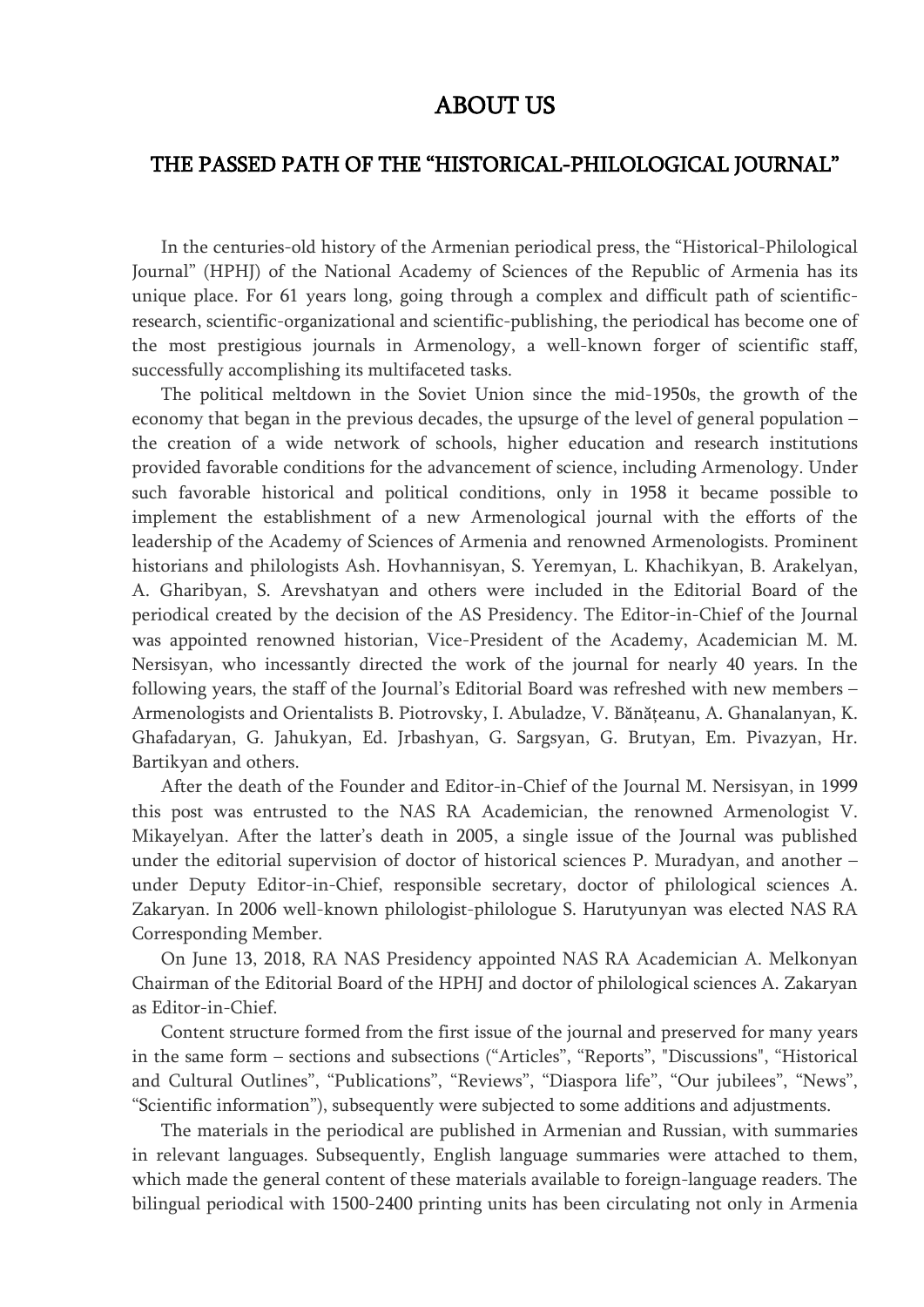## ABOUT US

## THE PASSED PATH OF THE "HISTORICAL-PHILOLOGICAL JOURNAL"

In the centuries-old history of the Armenian periodical press, the "Historical-Philological Journal" (HPHJ) of the National Academy of Sciences of the Republic of Armenia has its unique place. For 61 years long, going through a complex and difficult path of scientificresearch, scientific-organizational and scientific-publishing, the periodical has become one of the most prestigious journals in Armenology, a well-known forger of scientific staff, successfully accomplishing its multifaceted tasks.

The political meltdown in the Soviet Union since the mid-1950s, the growth of the economy that began in the previous decades, the upsurge of the level of general population – the creation of a wide network of schools, higher education and research institutions provided favorable conditions for the advancement of science, including Armenology. Under such favorable historical and political conditions, only in 1958 it became possible to implement the establishment of a new Armenological journal with the efforts of the leadership of the Academy of Sciences of Armenia and renowned Armenologists. Prominent historians and philologists Ash. Hovhannisyan, S. Yeremyan, L. Khachikyan, B. Arakelyan, A. Gharibyan, S. Arevshatyan and others were included in the Editorial Board of the periodical created by the decision of the AS Presidency. The Editor-in-Chief of the Journal was appointed renowned historian, Vice-President of the Academy, Academician M. M. Nersisyan, who incessantly directed the work of the journal for nearly 40 years. In the following years, the staff of the Journal's Editorial Board was refreshed with new members – Armenologists and Orientalists B. Piotrovsky, I. Abuladze, V. Bănăţeanu, A. Ghanalanyan, K. Ghafadaryan, G. Jahukyan, Ed. Jrbashyan, G. Sargsyan, G. Brutyan, Em. Pivazyan, Hr. Bartikyan and others.

After the death of the Founder and Editor-in-Chief of the Journal M. Nersisyan, in 1999 this post was entrusted to the NAS RA Academician, the renowned Armenologist V. Mikayelyan. After the latter's death in 2005, a single issue of the Journal was published under the editorial supervision of doctor of historical sciences P. Muradyan, and another – under Deputy Editor-in-Chief, responsible secretary, doctor of philological sciences A. Zakaryan. In 2006 well-known philologist-philologue S. Harutyunyan was elected NAS RA Corresponding Member.

On June 13, 2018, RA NAS Presidency appointed NAS RA Academician A. Melkonyan Chairman of the Editorial Board of the HPHJ and doctor of philological sciences A. Zakaryan as Editor-in-Chief.

Content structure formed from the first issue of the journal and preserved for many years in the same form – sections and subsections ("Articles", "Reports", "Discussions", "Historical and Cultural Outlines", "Publications", "Reviews", "Diaspora life", "Our jubilees", "News", "Scientific information"), subsequently were subjected to some additions and adjustments.

The materials in the periodical are published in Armenian and Russian, with summaries in relevant languages. Subsequently, English language summaries were attached to them, which made the general content of these materials available to foreign-language readers. The bilingual periodical with 1500-2400 printing units has been circulating not only in Armenia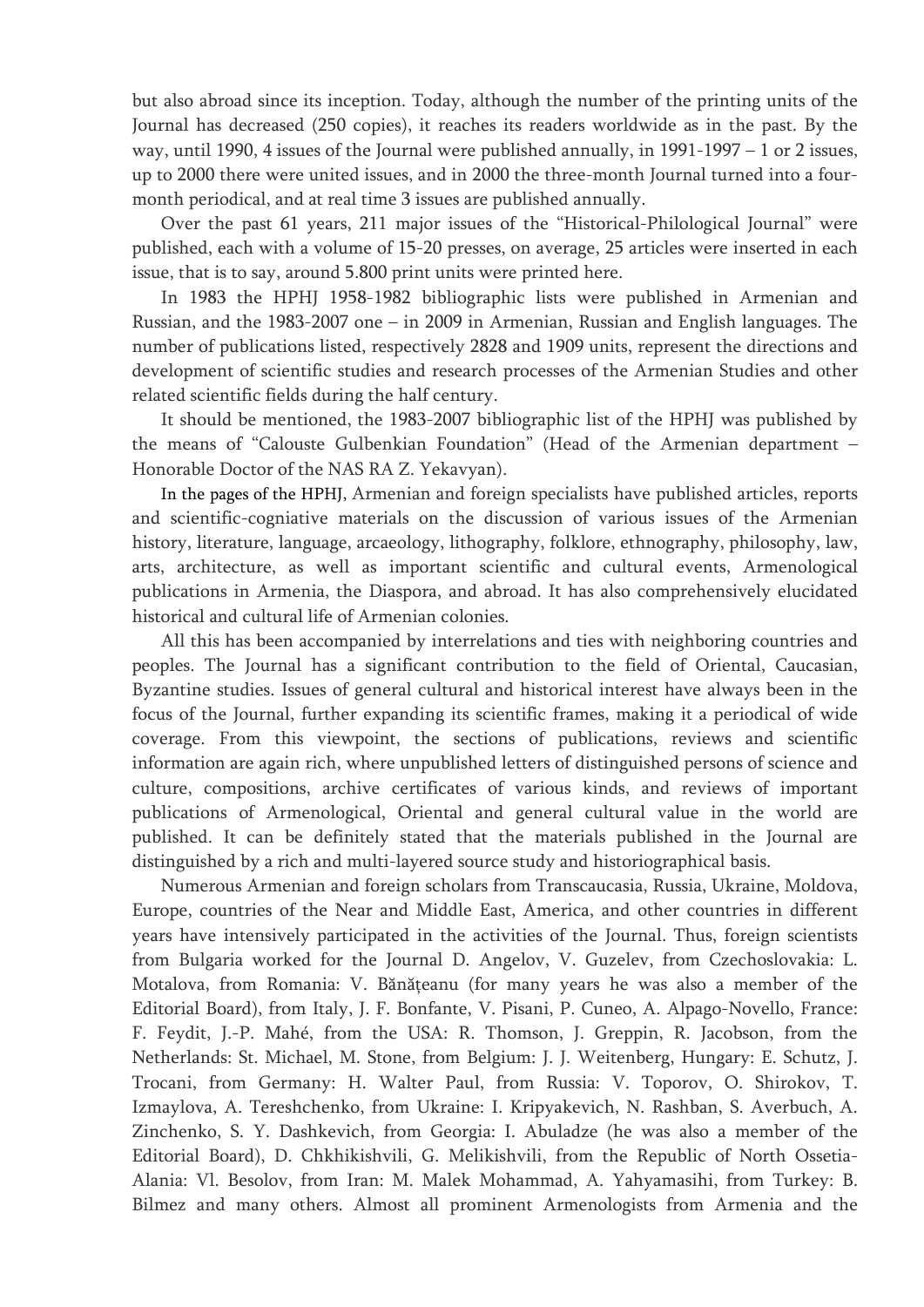but also abroad since its inception. Today, although the number of the printing units of the Journal has decreased (250 copies), it reaches its readers worldwide as in the past. By the way, until 1990, 4 issues of the Journal were published annually, in 1991-1997 – 1 or 2 issues, up to 2000 there were united issues, and in 2000 the three-month Journal turned into a fourmonth periodical, and at real time 3 issues are published annually.

Over the past 61 years, 211 major issues of the "Historical-Philological Journal" were published, each with a volume of 15-20 presses, on average, 25 articles were inserted in each issue, that is to say, around 5.800 print units were printed here.

In 1983 the HPHJ 1958-1982 bibliographic lists were published in Armenian and Russian, and the 1983-2007 one – in 2009 in Armenian, Russian and English languages. The number of publications listed, respectively 2828 and 1909 units, represent the directions and development of scientific studies and research processes of the Armenian Studies and other related scientific fields during the half century.

It should be mentioned, the 1983-2007 bibliographic list of the HPHJ was published by the means of "Calouste Gulbenkian Foundation" (Head of the Armenian department – Honorable Doctor of the NAS RA Z. Yekavyan).

In the pages of the HPHJ, Armenian and foreign specialists have published articles, reports and scientific-cogniative materials on the discussion of various issues of the Armenian history, literature, language, arcaeology, lithography, folklore, ethnography, philosophy, law, arts, architecture, as well as important scientific and cultural events, Armenological publications in Armenia, the Diaspora, and abroad. It has also comprehensively elucidated historical and cultural life of Armenian colonies.

All this has been accompanied by interrelations and ties with neighboring countries and peoples. The Journal has a significant contribution to the field of Oriental, Caucasian, Byzantine studies. Issues of general cultural and historical interest have always been in the focus of the Journal, further expanding its scientific frames, making it a periodical of wide coverage. From this viewpoint, the sections of publications, reviews and scientific information are again rich, where unpublished letters of distinguished persons of science and culture, compositions, archive certificates of various kinds, and reviews of important publications of Armenological, Oriental and general cultural value in the world are published. It can be definitely stated that the materials published in the Journal are distinguished by a rich and multi-layered source study and historiographical basis.

Numerous Armenian and foreign scholars from Transcaucasia, Russia, Ukraine, Moldova, Europe, countries of the Near and Middle East, America, and other countries in different years have intensively participated in the activities of the Journal. Thus, foreign scientists from Bulgaria worked for the Journal D. Angelov, V. Guzelev, from Czechoslovakia: L. Motalova, from Romania: V. Bănăţeanu (for many years he was also a member of the Editorial Board), from Italy, J. F. Bonfante, V. Pisani, P. Cuneo, A. Alpago-Novello, France: F. Feydit, J.-P. Mahé, from the USA: R. Thomson, J. Greppin, R. Jacobson, from the Netherlands: St. Michael, M. Stone, from Belgium: J. J. Weitenberg, Hungary: E. Schutz, J. Trocani, from Germany: H. Walter Paul, from Russia: V. Toporov, O. Shirokov, T. Izmaylova, A. Tereshchenko, from Ukraine: I. Kripyakevich, N. Rashban, S. Averbuch, A. Zinchenko, S. Y. Dashkevich, from Georgia: I. Abuladze (he was also a member of the Editorial Board), D. Chkhikishvili, G. Melikishvili, from the Republic of North Ossetia-Alania: Vl. Besolov, from Iran: M. Malek Mohammad, A. Yahyamasihi, from Turkey: B. Bilmez and many others. Almost all prominent Armenologists from Armenia and the